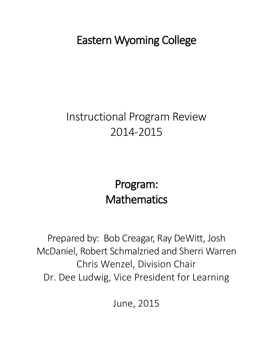Eastern Wyoming College

# Instructional Program Review 2014-2015

# Program: **Mathematics**

Prepared by: Bob Creagar, Ray DeWitt, Josh McDaniel, Robert Schmalzried and Sherri Warren Chris Wenzel, Division Chair Dr. Dee Ludwig, Vice President for Learning

June, 2015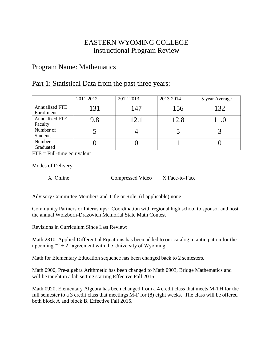## EASTERN WYOMING COLLEGE Instructional Program Review

## Program Name: Mathematics

## Part 1: Statistical Data from the past three years:

|                                  | 2011-2012 | 2012-2013 | 2013-2014 | 5-year Average |
|----------------------------------|-----------|-----------|-----------|----------------|
| Annualized FTE<br>Enrollment     | 131       | 147       | 156       | 132            |
| <b>Annualized FTE</b><br>Faculty | 9.8       | 12.1      | 12.8      | 11.0           |
| Number of<br>Students            |           |           |           |                |
| Number<br>Graduated              |           |           |           |                |

 $FTE = Full-time equivalent$ 

Modes of Delivery

X Online \_\_\_\_\_\_\_\_\_\_\_\_ Compressed Video X Face-to-Face

Advisory Committee Members and Title or Role: (if applicable) none

Community Partners or Internships: Coordination with regional high school to sponsor and host the annual Wolzborn-Drazovich Memorial State Math Contest

Revisions in Curriculum Since Last Review:

Math 2310, Applied Differential Equations has been added to our catalog in anticipation for the upcoming " $2 + 2$ " agreement with the University of Wyoming

Math for Elementary Education sequence has been changed back to 2 semesters.

Math 0900, Pre-algebra Arithmetic has been changed to Math 0903, Bridge Mathematics and will be taught in a lab setting starting Effective Fall 2015.

Math 0920, Elementary Algebra has been changed from a 4 credit class that meets M-TH for the full semester to a 3 credit class that meetings M-F for (8) eight weeks. The class will be offered both block A and block B. Effective Fall 2015.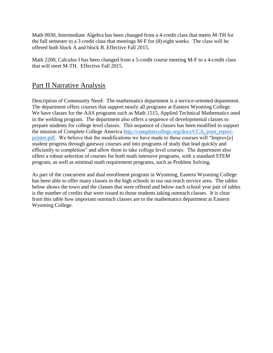Math 0930, Intermediate Algebra has been changed from a 4-credit class that meets M-TH for the full semester to a 3 credit class that meetings M-F for (8) eight weeks. The class will be offered both block A and block B. Effective Fall 2015.

Math 2200, Calculus I has been changed from a 5-credit course meeting M-F to a 4-credit class that will meet M-TH. Effective Fall 2015.

## Part II Narrative Analysis

Description of Community Need: The mathematics department is a service-oriented department. The department offers courses that support nearly all programs at Eastern Wyoming College. We have classes for the AAS programs such as Math 1515, Applied Technical Mathematics used in the welding program. The department also offers a sequence of developmental classes to prepare students for college level classes. This sequence of classes has been modified to support the mission of Complete College America [http://completecollege.org/docs/CCA\\_joint\\_report](http://completecollege.org/docs/CCA_joint_report-printer.pdf)[printer.pdf.](http://completecollege.org/docs/CCA_joint_report-printer.pdf) We believe that the modifications we have made to these courses will "Improv[e] student progress through gateway courses and into programs of study that lead quickly and efficiently to completion" and allow them to take college level courses. The department also offers a robust selection of courses for both math intensive programs, with a standard STEM program, as well as minimal math requirement programs, such as Problem Solving.

As part of the concurrent and dual enrollment program in Wyoming, Eastern Wyoming College has been able to offer many classes in the high schools in our out-reach service area. The tables below shows the town and the classes that were offered and below each school year pair of tables is the number of credits that were issued to those students taking outreach classes. It is clear from this table how important outreach classes are to the mathematics department at Eastern Wyoming College.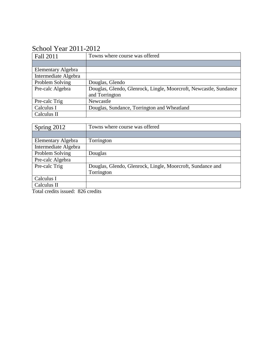# School Year 2011-2012

| Fall 2011                 | Towns where course was offered                                    |
|---------------------------|-------------------------------------------------------------------|
|                           |                                                                   |
| <b>Elementary Algebra</b> |                                                                   |
| Intermediate Algebra      |                                                                   |
| Problem Solving           | Douglas, Glendo                                                   |
| Pre-calc Algebra          | Douglas, Glendo, Glenrock, Lingle, Moorcroft, Newcastle, Sundance |
|                           | and Torrington                                                    |
| Pre-calc Trig             | Newcastle                                                         |
| Calculus I                | Douglas, Sundance, Torrington and Wheatland                       |
| Calculus II               |                                                                   |

| Spring 2012          | Towns where course was offered                             |
|----------------------|------------------------------------------------------------|
|                      |                                                            |
| Elementary Algebra   | Torrington                                                 |
| Intermediate Algebra |                                                            |
| Problem Solving      | Douglas                                                    |
| Pre-calc Algebra     |                                                            |
| Pre-calc Trig        | Douglas, Glendo, Glenrock, Lingle, Moorcroft, Sundance and |
|                      | Torrington                                                 |
| Calculus I           |                                                            |
| Calculus II          |                                                            |

Total credits issued: 826 credits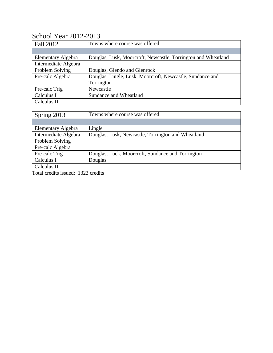# School Year 2012-2013

| Fall 2012                 | Towns where course was offered                                |
|---------------------------|---------------------------------------------------------------|
|                           |                                                               |
| <b>Elementary Algebra</b> | Douglas, Lusk, Moorcroft, Newcastle, Torrington and Wheatland |
| Intermediate Algebra      |                                                               |
| Problem Solving           | Douglas, Glendo and Glenrock                                  |
| Pre-calc Algebra          | Douglas, Lingle, Lusk, Moorcroft, Newcastle, Sundance and     |
|                           | Torrington                                                    |
| Pre-calc Trig             | Newcastle                                                     |
| Calculus I                | Sundance and Wheatland                                        |
| Calculus II               |                                                               |

| Spring 2013          | Towns where course was offered                     |
|----------------------|----------------------------------------------------|
|                      |                                                    |
| Elementary Algebra   | Lingle                                             |
| Intermediate Algebra | Douglas, Lusk, Newcastle, Torrington and Wheatland |
| Problem Solving      |                                                    |
| Pre-calc Algebra     |                                                    |
| Pre-calc Trig        | Douglas, Luck, Moorcroft, Sundance and Torrington  |
| Calculus I           | Douglas                                            |
| Calculus II          |                                                    |

Total credits issued: 1323 credits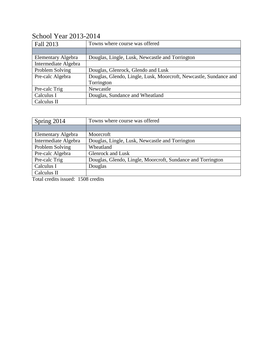| Fall 2013            | Towns where course was offered                                    |
|----------------------|-------------------------------------------------------------------|
|                      |                                                                   |
| Elementary Algebra   | Douglas, Lingle, Lusk, Newcastle and Torrington                   |
| Intermediate Algebra |                                                                   |
| Problem Solving      | Douglas, Glenrock, Glendo and Lusk                                |
| Pre-calc Algebra     | Douglas, Glendo, Lingle, Lusk, Moorcroft, Newcastle, Sundance and |
|                      | Torrington                                                        |
| Pre-calc Trig        | Newcastle                                                         |
| Calculus I           | Douglas, Sundance and Wheatland                                   |
| Calculus II          |                                                                   |

## School Year 2013-2014

| Spring 2014                                                        | Towns where course was offered                              |
|--------------------------------------------------------------------|-------------------------------------------------------------|
|                                                                    |                                                             |
| Elementary Algebra                                                 | Moorcroft                                                   |
| Intermediate Algebra                                               | Douglas, Lingle, Lusk, Newcastle and Torrington             |
| Problem Solving                                                    | Wheatland                                                   |
| Pre-calc Algebra                                                   | <b>Glenrock</b> and Lusk                                    |
| Pre-calc Trig                                                      | Douglas, Glendo, Lingle, Moorcroft, Sundance and Torrington |
| Calculus I                                                         | Douglas                                                     |
| Calculus II                                                        |                                                             |
| $\mathbf{m}$ , $\mathbf{1}$ , $\mathbf{1}$ , $\mathbf{1}$<br>1.500 | $\mathbf{1}$ .                                              |

Total credits issued: 1508 credits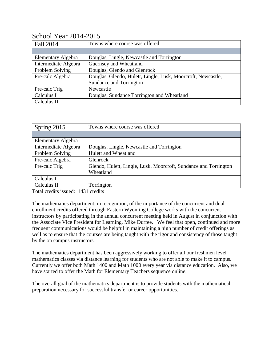| Fall 2014            | Towns where course was offered                               |
|----------------------|--------------------------------------------------------------|
|                      |                                                              |
| Elementary Algebra   | Douglas, Lingle, Newcastle and Torrington                    |
| Intermediate Algebra | Guernsey and Wheatland                                       |
| Problem Solving      | Douglas, Glendo and Glenrock                                 |
| Pre-calc Algebra     | Douglas, Glendo, Hulett, Lingle, Lusk, Moorcroft, Newcastle, |
|                      | Sundance and Torrington                                      |
| Pre-calc Trig        | Newcastle                                                    |
| Calculus I           | Douglas, Sundance Torrington and Wheatland                   |
| Calculus II          |                                                              |

## School Year 2014-2015

| Spring 2015               | Towns where course was offered                                   |
|---------------------------|------------------------------------------------------------------|
|                           |                                                                  |
| <b>Elementary Algebra</b> |                                                                  |
| Intermediate Algebra      | Douglas, Lingle, Newcastle and Torrington                        |
| Problem Solving           | <b>Hulett and Wheatland</b>                                      |
| Pre-calc Algebra          | Glenrock                                                         |
| Pre-calc Trig             | Glendo, Hulett, Lingle, Lusk, Moorcroft, Sundance and Torrington |
|                           | Wheatland                                                        |
| Calculus I                |                                                                  |
| Calculus II               | Torrington                                                       |

Total credits issued: 1431 credits

The mathematics department, in recognition, of the importance of the concurrent and dual enrollment credits offered through Eastern Wyoming College works with the concurrent instructors by participating in the annual concurrent meeting held in August in conjunction with the Associate Vice President for Learning, Mike Durfee. We feel that open, continued and more frequent communications would be helpful in maintaining a high number of credit offerings as well as to ensure that the courses are being taught with the rigor and consistency of those taught by the on campus instructors.

The mathematics department has been aggressively working to offer all our freshmen level mathematics classes via distance learning for students who are not able to make it to campus. Currently we offer both Math 1400 and Math 1000 every year via distance education. Also, we have started to offer the Math for Elementary Teachers sequence online.

The overall goal of the mathematics department is to provide students with the mathematical preparation necessary for successful transfer or career opportunities.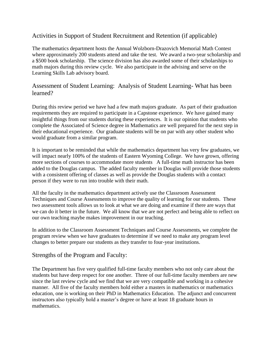### Activities in Support of Student Recruitment and Retention (if applicable)

The mathematics department hosts the Annual Wolzborn-Drazovich Memorial Math Contest where approximately 200 students attend and take the test. We award a two-year scholarship and a \$500 book scholarship. The science division has also awarded some of their scholarships to math majors during this review cycle. We also participate in the advising and serve on the Learning Skills Lab advisory board.

### Assessment of Student Learning: Analysis of Student Learning- What has been learned?

During this review period we have had a few math majors graduate. As part of their graduation requirements they are required to participate in a Capstone experience. We have gained many insightful things from our students during these experiences. It is our opinion that students who complete the Associated of Science degree in Mathematics are well prepared for the next step in their educational experience. Our graduate students will be on par with any other student who would graduate from a similar program.

It is important to be reminded that while the mathematics department has very few graduates, we will impact nearly 100% of the students of Eastern Wyoming College. We have grown, offering more sections of courses to accommodate more students A full-time math instructor has been added to the Douglas campus. The added faculty member in Douglas will provide those students with a consistent offering of classes as well as provide the Douglas students with a contact person if they were to run into trouble with their math.

All the faculty in the mathematics department actively use the Classroom Assessment Techniques and Course Assessments to improve the quality of learning for our students. These two assessment tools allows us to look at what we are doing and examine if there are ways that we can do it better in the future. We all know that we are not perfect and being able to reflect on our own teaching maybe makes improvement in our teaching.

In addition to the Classroom Assessment Techniques and Course Assessments, we complete the program review when we have graduates to determine if we need to make any program level changes to better prepare our students as they transfer to four-year institutions.

#### Strengths of the Program and Faculty:

The Department has five very qualified full-time faculty members who not only care about the students but have deep respect for one another. Three of our full-time faculty members are new since the last review cycle and we find that we are very compatible and working in a cohesive manner. All five of the faculty members hold either a masters in mathematics or mathematics education, one is working on their PhD in Mathematics Education. The adjunct and concurrent instructors also typically hold a master's degree or have at least 18 graduate hours in mathematics.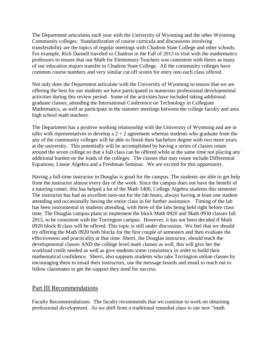The Department articulates each year with the University of Wyoming and the other Wyoming Community colleges. Standardization of course curricula and discussions involving transferability are the topics of regular meetings with Chadron State College and other schools. For example, Rick Darnell traveled to Chadron in the Fall of 2013 to visit with the mathematics professors to ensure that our Math for Elementary Teachers was consistent with theirs as many of our education majors transfer to Chadron State College. All the community colleges have common course numbers and very similar cut off scores for entry into each class offered.

Not only does the Department articulate with the University of Wyoming to ensure that we are offering the best for our students we have participated in numerous professional developmental activities during this review period. Some of the activities have included taking additional graduate classes, attending the International Conference on Technology in Collegiate Mathematics, as well as participate in the summer meetings between the college faculty and area high school math teachers.

The Department has a positive working relationship with the University of Wyoming and are in talks with representatives to develop a  $2 + 2$  agreement whereas students who graduate from the any of the community colleges will be able to finish their bachelors degree with two more years at the university. This potentially will be accomplished by having a series of classes rotate around the seven college so that a full class can be offered while at the same time not placing any additional burden on the loads of the colleges. The classes that may rotate include Differential Equations, Linear Algebra and a Freshman Seminar. We are excited for this opportunity.

Having a full-time instructor in Douglas is good for the campus. The students are able to get help from the instructor almost every day of the week. Since the campus does not have the benefit of a tutoring center, this has helped a lot of the Math 1400, College Algebra students this semester. The instructor has had an excellent turn-out for the lab hours, always having at least one student attending and occasionally having the entire class in for further assistance. Timing of the lab has been instrumental in students attending, with three of the labs being held right before class time. The Douglas campus plans to implement the block Math 0920 and Math 0930 classes fall 2015, to be consistent with the Torrington campus. However, it has not been decided if Math 0920 block B class will be offered. This topic is still under discussion. We feel that we should try offering the Math 0920 both blocks for the first couple of semesters and then evaluate the effectiveness and practicality at that time. Sherri, the Douglas instructor, should teach the developmental classes AND the college level math classes as well, this will give her the workload credit needed as well as give students some consistency in order to build their mathematical confidence. Sherri, also supports students who take Torrington online classes by encouraging them to email their instructors, use the message boards and email to reach out to fellow classmates to get the support they need for success.

#### Part III Recommendations

Faculty Recommendations: The faculty recommends that we continue to work on obtaining professional development. As we shift from a traditional remedial class to our new "math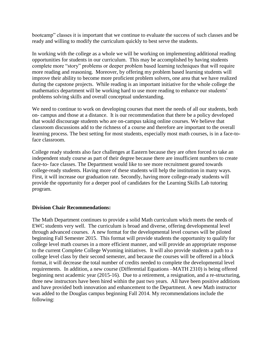bootcamp" classes it is important that we continue to evaluate the success of such classes and be ready and willing to modify the curriculum quickly to best serve the students.

In working with the college as a whole we will be working on implementing additional reading opportunities for students in our curriculum. This may be accomplished by having students complete more "story" problems or deeper problem based learning techniques that will require more reading and reasoning. Moreover, by offering my problem based learning students will improve their ability to become more proficient problem solvers, one area that we have realized during the capstone projects. While reading is an important initiative for the whole college the mathematics department will be working hard to use more reading to enhance our students' problems solving skills and overall conceptual understanding.

We need to continue to work on developing courses that meet the needs of all our students, both on- campus and those at a distance. It is our recommendation that there be a policy developed that would discourage students who are on-campus taking online courses. We believe that classroom discussions add to the richness of a course and therefore are important to the overall learning process. The best setting for most students, especially most math courses, is in a face-toface classroom.

College ready students also face challenges at Eastern because they are often forced to take an independent study course as part of their degree because there are insufficient numbers to create face-to- face classes. The Department would like to see more recruitment geared towards college-ready students. Having more of these students will help the institution in many ways. First, it will increase our graduation rate. Secondly, having more college-ready students will provide the opportunity for a deeper pool of candidates for the Learning Skills Lab tutoring program.

#### **Division Chair Recommendations:**

The Math Department continues to provide a solid Math curriculum which meets the needs of EWC students very well. The curriculum is broad and diverse, offering developmental level through advanced courses. A new format for the developmental level courses will be piloted beginning Fall Semester 2015. This format will provide students the opportunity to qualify for college level math courses in a more efficient manner, and will provide an appropriate response to the current Complete College Wyoming initiatives. It will also provide students a path to a college level class by their second semester, and because the courses will be offered in a block format, it will decrease the total number of credits needed to complete the developmental level requirements. In addition, a new course (Differential Equations –MATH 2310) is being offered beginning next academic year (2015-16). Due to a retirement, a resignation, and a re-structuring, three new instructors have been hired within the past two years. All have been positive additions and have provided both innovation and enhancement to the Department. A new Math instructor was added to the Douglas campus beginning Fall 2014. My recommendations include the following: